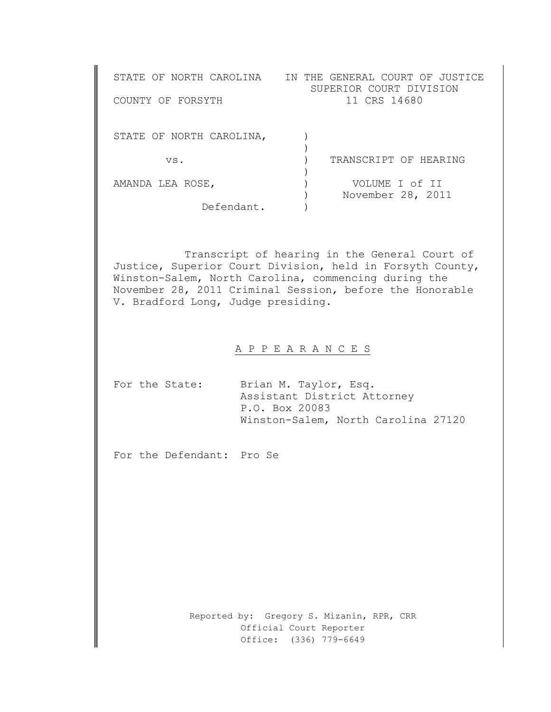| STATE OF NORTH CAROLINA<br>COUNTY OF FORSYTH | IN THE GENERAL COURT OF JUSTICE<br>SUPERIOR COURT DIVISION<br>11 CRS 14680 |
|----------------------------------------------|----------------------------------------------------------------------------|
| STATE OF NORTH CAROLINA,                     |                                                                            |
| VS.                                          | TRANSCRIPT OF HEARING                                                      |
| AMANDA LEA ROSE,                             | VOLUME I of II<br>November 28, 2011                                        |
| Defendant.                                   |                                                                            |

Transcript of hearing in the General Court of Justice, Superior Court Division, held in Forsyth County, Winston-Salem, North Carolina, commencing during the November 28, 2011 Criminal Session, before the Honorable V. Bradford Long, Judge presiding.

## A P P E A R A N C E S

|  | For the State: | Brian M. Taylor, Esq.               |
|--|----------------|-------------------------------------|
|  |                | Assistant District Attorney         |
|  |                | P.O. Box 20083                      |
|  |                | Winston-Salem, North Carolina 27120 |

For the Defendant: Pro Se

Reported by: Gregory S. Mizanin, RPR, CRR Official Court Reporter Office: (336) 779-6649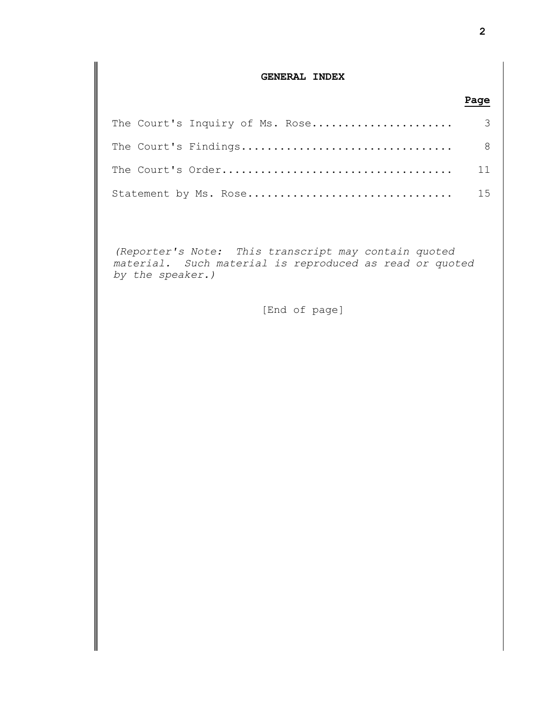## **GENERAL INDEX**

## The Court's Inquiry of Ms. Rose...................... 3 The Court's Findings................................. 8 The Court's Order.................................... 11 Statement by Ms. Rose................................ 15

*(Reporter's Note: This transcript may contain quoted material. Such material is reproduced as read or quoted by the speaker.)*

[End of page]

**Page**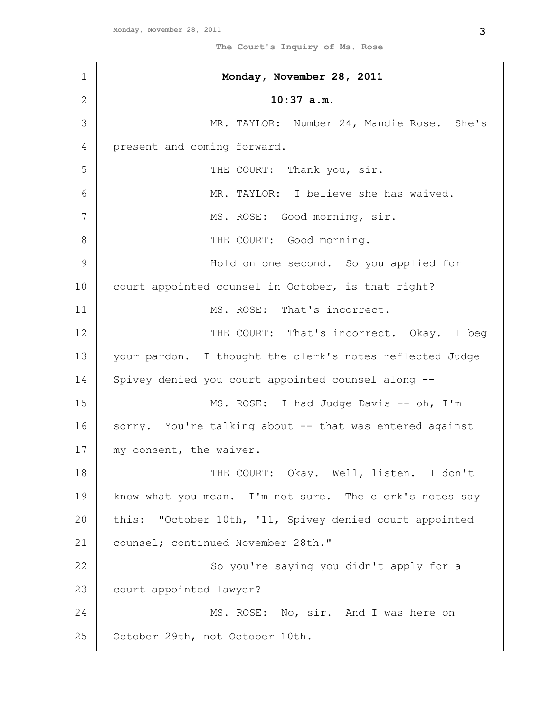| $\mathbf 1$   | Monday, November 28, 2011                                |
|---------------|----------------------------------------------------------|
| 2             | $10:37$ a.m.                                             |
| 3             | MR. TAYLOR: Number 24, Mandie Rose. She's                |
| 4             | present and coming forward.                              |
| 5             | THE COURT: Thank you, sir.                               |
| 6             | MR. TAYLOR: I believe she has waived.                    |
| 7             | MS. ROSE: Good morning, sir.                             |
| 8             | THE COURT: Good morning.                                 |
| $\mathcal{G}$ | Hold on one second. So you applied for                   |
| 10            | court appointed counsel in October, is that right?       |
| 11            | MS. ROSE: That's incorrect.                              |
| 12            | THE COURT: That's incorrect. Okay. I beg                 |
| 13            | your pardon. I thought the clerk's notes reflected Judge |
| 14            | Spivey denied you court appointed counsel along --       |
| 15            | MS. ROSE: I had Judge Davis -- oh, I'm                   |
| 16            | sorry. You're talking about -- that was entered against  |
| 17            | my consent, the waiver.                                  |
| 18            | THE COURT: Okay. Well, listen. I don't                   |
| 19            | know what you mean. I'm not sure. The clerk's notes say  |
| 20            | this: "October 10th, '11, Spivey denied court appointed  |
| 21            | counsel; continued November 28th."                       |
| 22            | So you're saying you didn't apply for a                  |
| 23            | court appointed lawyer?                                  |
| 24            | MS. ROSE: No, sir. And I was here on                     |
| 25            | October 29th, not October 10th.                          |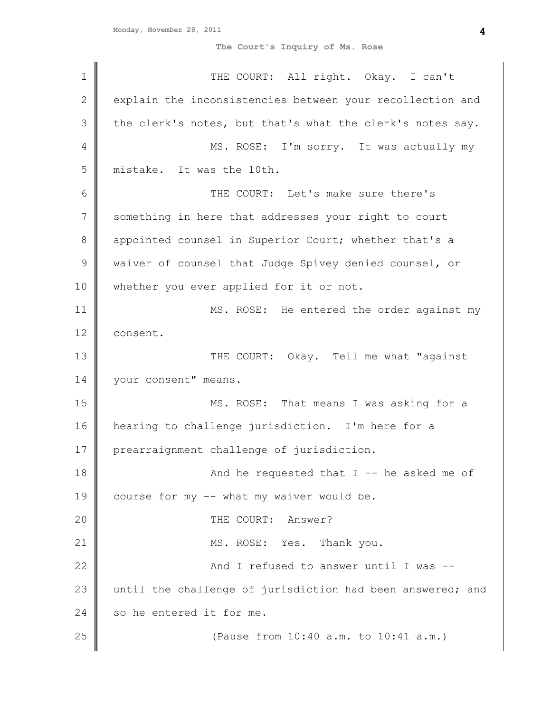| $\mathbf 1$   | THE COURT: All right. Okay. I can't                        |
|---------------|------------------------------------------------------------|
| 2             | explain the inconsistencies between your recollection and  |
| 3             | the clerk's notes, but that's what the clerk's notes say.  |
| 4             | MS. ROSE: I'm sorry. It was actually my                    |
| 5             | mistake. It was the 10th.                                  |
| 6             | THE COURT: Let's make sure there's                         |
| 7             | something in here that addresses your right to court       |
| 8             | appointed counsel in Superior Court; whether that's a      |
| $\mathcal{G}$ | waiver of counsel that Judge Spivey denied counsel, or     |
| 10            | whether you ever applied for it or not.                    |
| 11            | MS. ROSE: He entered the order against my                  |
| 12            | consent.                                                   |
| 13            | THE COURT: Okay. Tell me what "against                     |
| 14            | your consent" means.                                       |
| 15            | MS. ROSE: That means I was asking for a                    |
| 16            | hearing to challenge jurisdiction. I'm here for a          |
| 17            | prearraignment challenge of jurisdiction.                  |
| 18            | And he requested that $I$ -- he asked me of                |
| 19            | course for my -- what my waiver would be.                  |
| 20            | THE COURT: Answer?                                         |
| 21            | MS. ROSE: Yes. Thank you.                                  |
| 22            | And I refused to answer until I was --                     |
| 23            | until the challenge of jurisdiction had been answered; and |
| 24            | so he entered it for me.                                   |
| 25            | (Pause from 10:40 a.m. to 10:41 a.m.)                      |
|               |                                                            |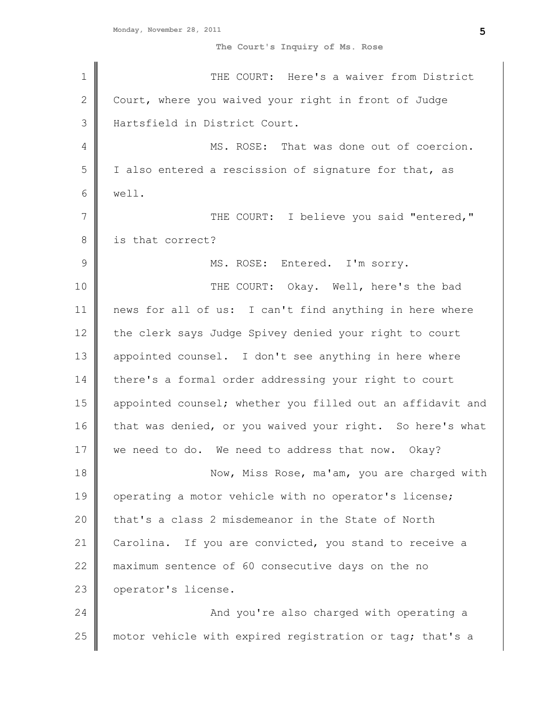| $\mathbf 1$   | THE COURT: Here's a waiver from District                   |
|---------------|------------------------------------------------------------|
| $\mathbf{2}$  | Court, where you waived your right in front of Judge       |
| 3             | Hartsfield in District Court.                              |
| 4             | MS. ROSE: That was done out of coercion.                   |
| 5             | I also entered a rescission of signature for that, as      |
| 6             | well.                                                      |
| 7             | THE COURT: I believe you said "entered,"                   |
| 8             | is that correct?                                           |
| $\mathcal{G}$ | MS. ROSE: Entered. I'm sorry.                              |
| 10            | THE COURT: Okay. Well, here's the bad                      |
| 11            | news for all of us: I can't find anything in here where    |
| 12            | the clerk says Judge Spivey denied your right to court     |
| 13            | appointed counsel. I don't see anything in here where      |
| 14            | there's a formal order addressing your right to court      |
| 15            | appointed counsel; whether you filled out an affidavit and |
| 16            | that was denied, or you waived your right. So here's what  |
| 17            | we need to do. We need to address that now. Okay?          |
| 18            | Now, Miss Rose, ma'am, you are charged with                |
| 19            | operating a motor vehicle with no operator's license;      |
| 20            | that's a class 2 misdemeanor in the State of North         |
| 21            | If you are convicted, you stand to receive a<br>Carolina.  |
| 22            | maximum sentence of 60 consecutive days on the no          |
| 23            | operator's license.                                        |
| 24            | And you're also charged with operating a                   |
| 25            | motor vehicle with expired registration or tag; that's a   |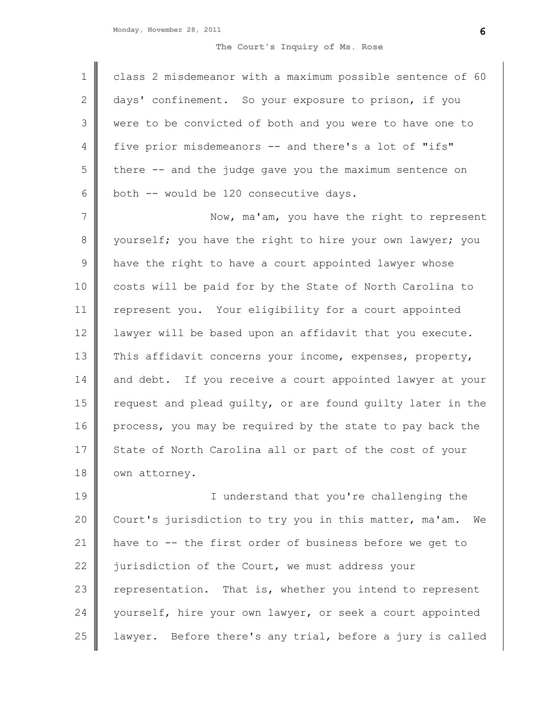|                | class 2 misdemeanor with a maximum possible sentence of 60 |
|----------------|------------------------------------------------------------|
| 2              | days' confinement. So your exposure to prison, if you      |
| $\mathcal{S}$  | were to be convicted of both and you were to have one to   |
| $\overline{4}$ | five prior misdemeanors -- and there's a lot of "ifs"      |
| 5              | there -- and the judge gave you the maximum sentence on    |
| 6              | both -- would be 120 consecutive days.                     |

7 8 9 10 11 12 13 14 15 16 17 18 Now, ma'am, you have the right to represent yourself; you have the right to hire your own lawyer; you have the right to have a court appointed lawyer whose costs will be paid for by the State of North Carolina to represent you. Your eligibility for a court appointed lawyer will be based upon an affidavit that you execute. This affidavit concerns your income, expenses, property, and debt. If you receive a court appointed lawyer at your request and plead guilty, or are found guilty later in the process, you may be required by the state to pay back the State of North Carolina all or part of the cost of your own attorney.

19 20 21 22 23 24 25 I understand that you're challenging the Court's jurisdiction to try you in this matter, ma'am. We have to -- the first order of business before we get to jurisdiction of the Court, we must address your representation. That is, whether you intend to represent yourself, hire your own lawyer, or seek a court appointed lawyer. Before there's any trial, before a jury is called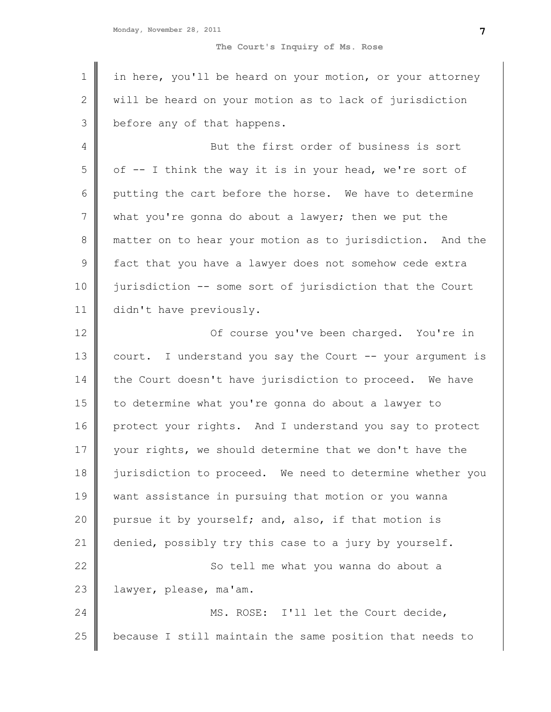| $\mathbf 1$    | in here, you'll be heard on your motion, or your attorney |
|----------------|-----------------------------------------------------------|
| $\mathbf{2}$   | will be heard on your motion as to lack of jurisdiction   |
| 3              | before any of that happens.                               |
| 4              | But the first order of business is sort                   |
| 5              | of -- I think the way it is in your head, we're sort of   |
| 6              | putting the cart before the horse. We have to determine   |
| $\overline{7}$ | what you're gonna do about a lawyer; then we put the      |
| $\,8\,$        | matter on to hear your motion as to jurisdiction. And the |
| $\mathsf 9$    | fact that you have a lawyer does not somehow cede extra   |
| 10             | jurisdiction -- some sort of jurisdiction that the Court  |
| 11             | didn't have previously.                                   |
| 12             | Of course you've been charged. You're in                  |
| 13             | court. I understand you say the Court -- your argument is |
| 14             | the Court doesn't have jurisdiction to proceed. We have   |
| 15             | to determine what you're gonna do about a lawyer to       |
| 16             | protect your rights. And I understand you say to protect  |
| 17             | your rights, we should determine that we don't have the   |
| 18             | jurisdiction to proceed. We need to determine whether you |
| 19             | want assistance in pursuing that motion or you wanna      |
| 20             | pursue it by yourself; and, also, if that motion is       |
| 21             | denied, possibly try this case to a jury by yourself.     |
| 22             | So tell me what you wanna do about a                      |
| 23             | lawyer, please, ma'am.                                    |
| 24             | MS. ROSE: I'll let the Court decide,                      |
| 25             | because I still maintain the same position that needs to  |
|                |                                                           |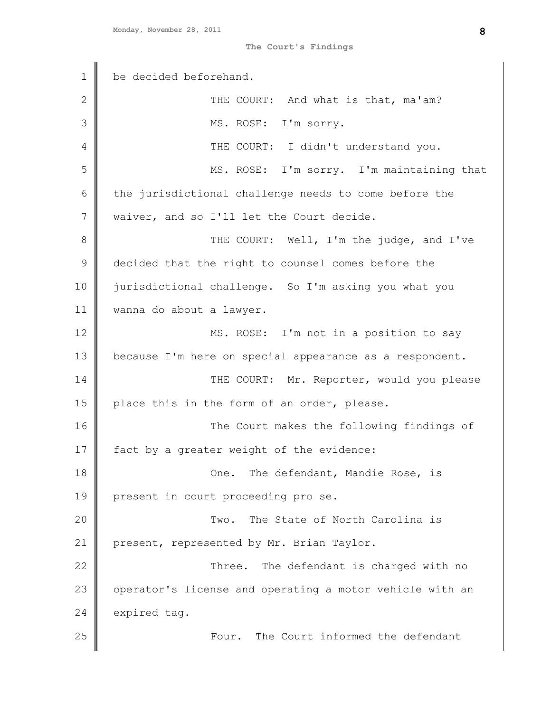**The Court's Findings**

| $\mathbf 1$   | be decided beforehand.                                   |
|---------------|----------------------------------------------------------|
| $\mathbf{2}$  | THE COURT: And what is that, ma'am?                      |
| 3             | MS. ROSE: I'm sorry.                                     |
| 4             | THE COURT: I didn't understand you.                      |
| 5             | MS. ROSE: I'm sorry. I'm maintaining that                |
| 6             | the jurisdictional challenge needs to come before the    |
| 7             | waiver, and so I'll let the Court decide.                |
| 8             | THE COURT: Well, I'm the judge, and I've                 |
| $\mathcal{G}$ | decided that the right to counsel comes before the       |
| 10            | jurisdictional challenge. So I'm asking you what you     |
| 11            | wanna do about a lawyer.                                 |
| 12            | MS. ROSE: I'm not in a position to say                   |
| 13            | because I'm here on special appearance as a respondent.  |
| 14            | THE COURT: Mr. Reporter, would you please                |
| 15            | place this in the form of an order, please.              |
| 16            | The Court makes the following findings of                |
| 17            | fact by a greater weight of the evidence:                |
| 18            | The defendant, Mandie Rose, is<br>One.                   |
| 19            | present in court proceeding pro se.                      |
| 20            | The State of North Carolina is<br>Two.                   |
| 21            | present, represented by Mr. Brian Taylor.                |
| 22            | The defendant is charged with no<br>Three.               |
| 23            | operator's license and operating a motor vehicle with an |
| 24            | expired tag.                                             |
| 25            | The Court informed the defendant<br>Four.                |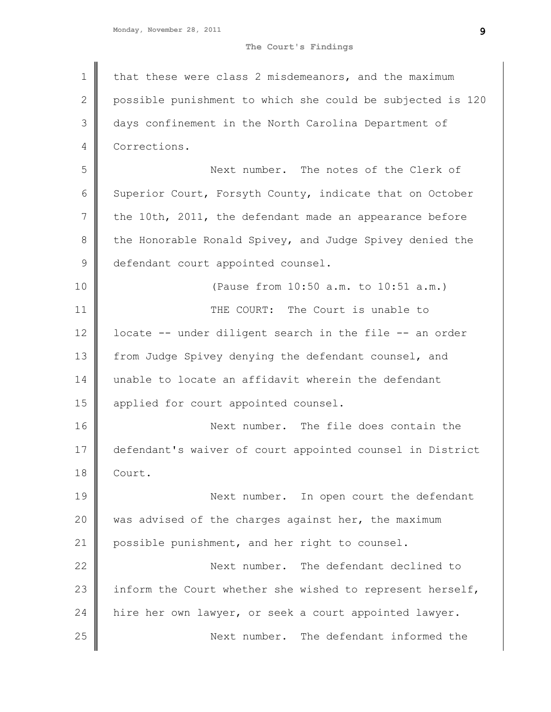**The Court's Findings**

1 2 3 4 5 6 7 8 9 10 11 12 13 14 15 16 17 18 19 20 21 22 23 24 25 that these were class 2 misdemeanors, and the maximum possible punishment to which she could be subjected is 120 days confinement in the North Carolina Department of Corrections. Next number. The notes of the Clerk of Superior Court, Forsyth County, indicate that on October the 10th, 2011, the defendant made an appearance before the Honorable Ronald Spivey, and Judge Spivey denied the defendant court appointed counsel. (Pause from 10:50 a.m. to 10:51 a.m.) THE COURT: The Court is unable to locate -- under diligent search in the file -- an order from Judge Spivey denying the defendant counsel, and unable to locate an affidavit wherein the defendant applied for court appointed counsel. Next number. The file does contain the defendant's waiver of court appointed counsel in District Court. Next number. In open court the defendant was advised of the charges against her, the maximum possible punishment, and her right to counsel. Next number. The defendant declined to inform the Court whether she wished to represent herself, hire her own lawyer, or seek a court appointed lawyer. Next number. The defendant informed the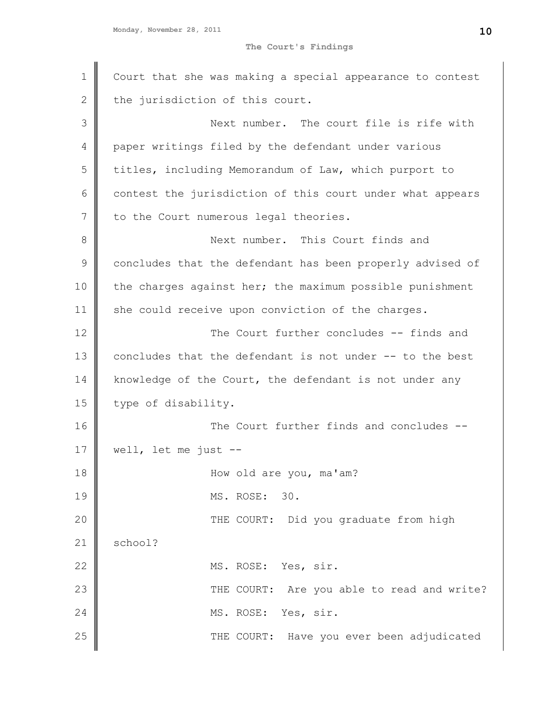```
Monday, November 28, 2011
```
**The Court's Findings**

| Court that she was making a special appearance to contest |
|-----------------------------------------------------------|
| the jurisdiction of this court.                           |
| Next number. The court file is rife with                  |
| paper writings filed by the defendant under various       |
| titles, including Memorandum of Law, which purport to     |
| contest the jurisdiction of this court under what appears |
| to the Court numerous legal theories.                     |
| Next number. This Court finds and                         |
| concludes that the defendant has been properly advised of |
| the charges against her; the maximum possible punishment  |
| she could receive upon conviction of the charges.         |
| The Court further concludes -- finds and                  |
| concludes that the defendant is not under -- to the best  |
| knowledge of the Court, the defendant is not under any    |
| type of disability.                                       |
| The Court further finds and concludes --                  |
| well, let me just $-$                                     |
| How old are you, ma'am?                                   |
| MS. ROSE: 30.                                             |
| THE COURT: Did you graduate from high                     |
| school?                                                   |
| MS. ROSE: Yes, sir.                                       |
| THE COURT: Are you able to read and write?                |
| MS. ROSE: Yes, sir.                                       |
| THE COURT: Have you ever been adjudicated                 |
|                                                           |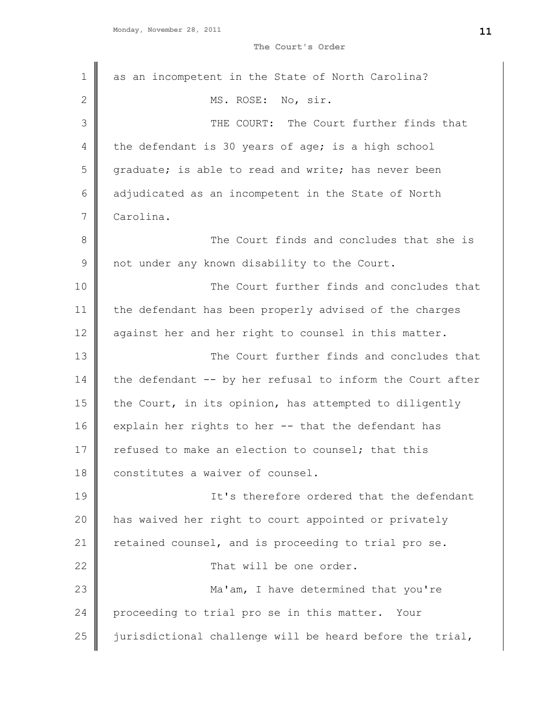**The Court's Order**

| 1  | as an incompetent in the State of North Carolina?         |
|----|-----------------------------------------------------------|
| 2  | MS. ROSE: No, sir.                                        |
| 3  | THE COURT: The Court further finds that                   |
| 4  | the defendant is 30 years of age; is a high school        |
| 5  | graduate; is able to read and write; has never been       |
| 6  | adjudicated as an incompetent in the State of North       |
| 7  | Carolina.                                                 |
| 8  | The Court finds and concludes that she is                 |
| 9  | not under any known disability to the Court.              |
| 10 | The Court further finds and concludes that                |
| 11 | the defendant has been properly advised of the charges    |
| 12 | against her and her right to counsel in this matter.      |
| 13 | The Court further finds and concludes that                |
| 14 | the defendant -- by her refusal to inform the Court after |
| 15 | the Court, in its opinion, has attempted to diligently    |
| 16 | explain her rights to her -- that the defendant has       |
| 17 | refused to make an election to counsel; that this         |
| 18 | constitutes a waiver of counsel.                          |
| 19 | It's therefore ordered that the defendant                 |
| 20 | has waived her right to court appointed or privately      |
| 21 | retained counsel, and is proceeding to trial pro se.      |
| 22 | That will be one order.                                   |
| 23 | Ma'am, I have determined that you're                      |
| 24 | proceeding to trial pro se in this matter.<br>Your        |
| 25 | jurisdictional challenge will be heard before the trial,  |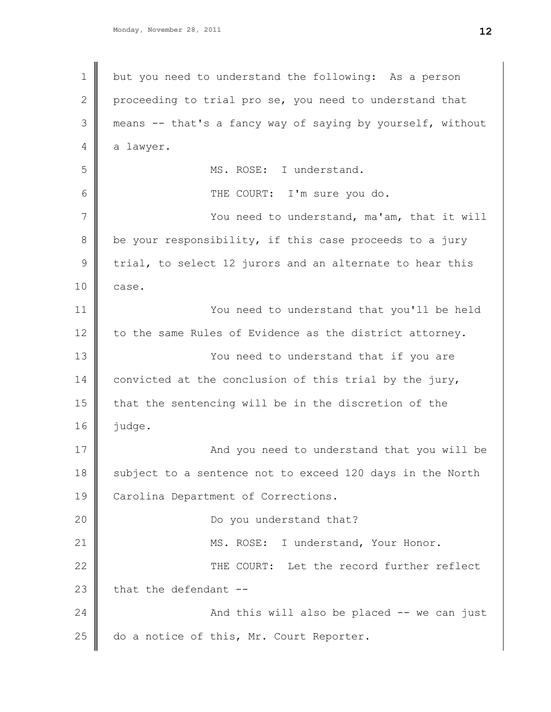1 2 3 4 5 6 7 8 9 10 11 12 13 14 15 16 17 18 19 20 21 22 23 24 25 but you need to understand the following: As a person proceeding to trial pro se, you need to understand that means -- that's a fancy way of saying by yourself, without a lawyer. MS. ROSE: I understand. THE COURT: I'm sure you do. You need to understand, ma'am, that it will be your responsibility, if this case proceeds to a jury trial, to select 12 jurors and an alternate to hear this case. You need to understand that you'll be held to the same Rules of Evidence as the district attorney. You need to understand that if you are convicted at the conclusion of this trial by the jury, that the sentencing will be in the discretion of the judge. And you need to understand that you will be subject to a sentence not to exceed 120 days in the North Carolina Department of Corrections. Do you understand that? MS. ROSE: I understand, Your Honor. THE COURT: Let the record further reflect that the defendant -- And this will also be placed -- we can just do a notice of this, Mr. Court Reporter.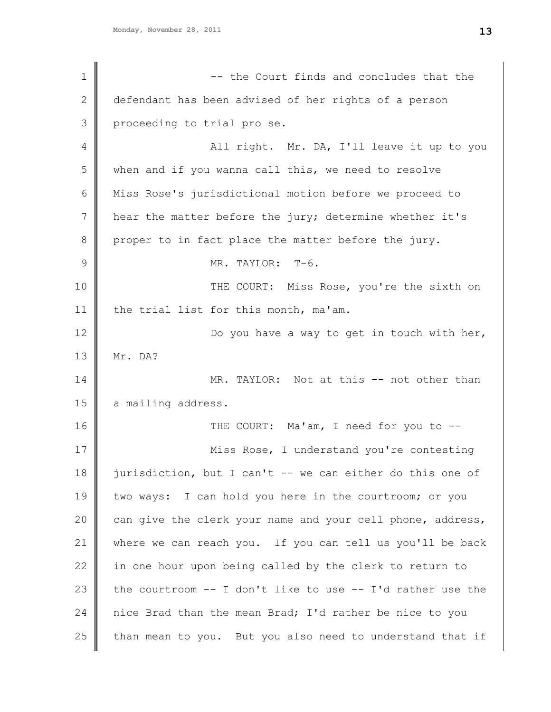1 2 3 4 5 6 7 8 9 10 11 12 13 14 15 16 17 18 19 20 21 22 23 24 25 -- the Court finds and concludes that the defendant has been advised of her rights of a person proceeding to trial pro se. All right. Mr. DA, I'll leave it up to you when and if you wanna call this, we need to resolve Miss Rose's jurisdictional motion before we proceed to hear the matter before the jury; determine whether it's proper to in fact place the matter before the jury. MR. TAYLOR: T-6. THE COURT: Miss Rose, you're the sixth on the trial list for this month, ma'am. Do you have a way to get in touch with her, Mr. DA? MR. TAYLOR: Not at this -- not other than a mailing address. THE COURT: Ma'am, I need for you to --Miss Rose, I understand you're contesting jurisdiction, but I can't -- we can either do this one of two ways: I can hold you here in the courtroom; or you can give the clerk your name and your cell phone, address, where we can reach you. If you can tell us you'll be back in one hour upon being called by the clerk to return to the courtroom -- I don't like to use -- I'd rather use the nice Brad than the mean Brad; I'd rather be nice to you than mean to you. But you also need to understand that if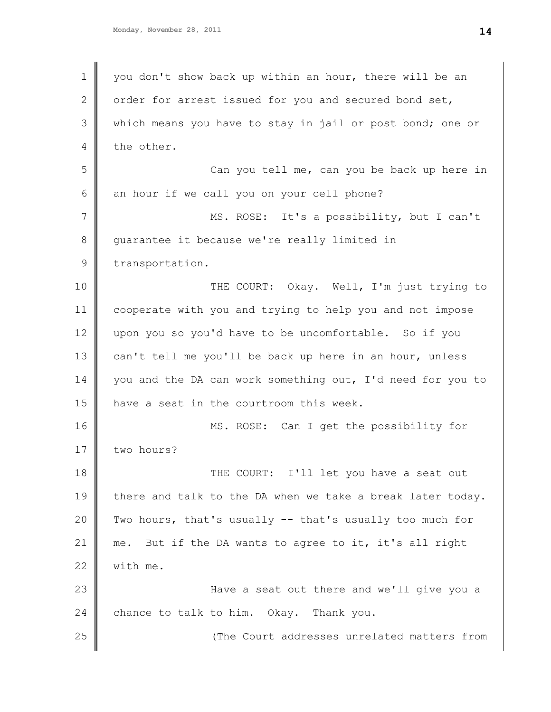1 2 3 4 5 6 7 8 9 10 11 12 13 14 15 16 17 18 19 20 21 22 23 24 25 you don't show back up within an hour, there will be an order for arrest issued for you and secured bond set, which means you have to stay in jail or post bond; one or the other. Can you tell me, can you be back up here in an hour if we call you on your cell phone? MS. ROSE: It's a possibility, but I can't guarantee it because we're really limited in transportation. THE COURT: Okay. Well, I'm just trying to cooperate with you and trying to help you and not impose upon you so you'd have to be uncomfortable. So if you can't tell me you'll be back up here in an hour, unless you and the DA can work something out, I'd need for you to have a seat in the courtroom this week. MS. ROSE: Can I get the possibility for two hours? THE COURT: I'll let you have a seat out there and talk to the DA when we take a break later today. Two hours, that's usually -- that's usually too much for me. But if the DA wants to agree to it, it's all right with me. Have a seat out there and we'll give you a chance to talk to him. Okay. Thank you. (The Court addresses unrelated matters from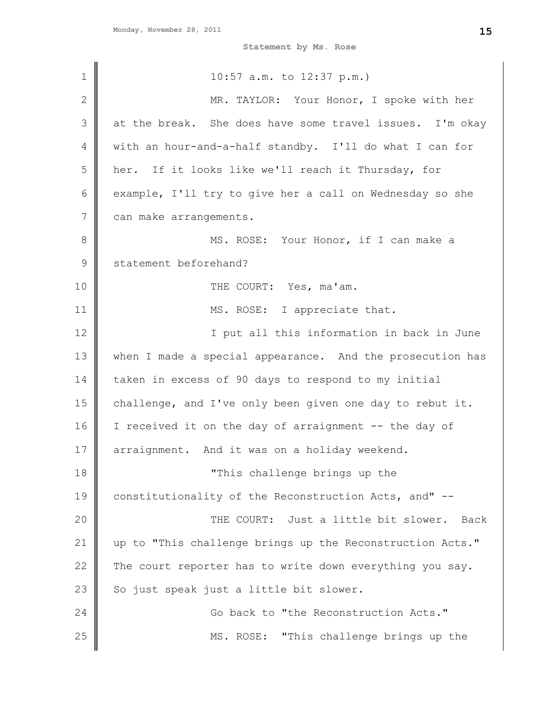**Statement by Ms. Rose**

| 1            | $10:57$ a.m. to $12:37$ p.m.)                             |
|--------------|-----------------------------------------------------------|
| $\mathbf{2}$ | MR. TAYLOR: Your Honor, I spoke with her                  |
| 3            | at the break. She does have some travel issues. I'm okay  |
| 4            | with an hour-and-a-half standby. I'll do what I can for   |
| 5            | her. If it looks like we'll reach it Thursday, for        |
| 6            | example, I'll try to give her a call on Wednesday so she  |
| 7            | can make arrangements.                                    |
| 8            | MS. ROSE: Your Honor, if I can make a                     |
| $\mathsf 9$  | statement beforehand?                                     |
| 10           | THE COURT: Yes, ma'am.                                    |
| 11           | MS. ROSE: I appreciate that.                              |
| 12           | I put all this information in back in June                |
| 13           | when I made a special appearance. And the prosecution has |
| 14           | taken in excess of 90 days to respond to my initial       |
| 15           | challenge, and I've only been given one day to rebut it.  |
| 16           | I received it on the day of arraignment -- the day of     |
| 17           | arraignment. And it was on a holiday weekend.             |
| 18           | "This challenge brings up the                             |
| 19           | constitutionality of the Reconstruction Acts, and" --     |
| 20           | THE COURT: Just a little bit slower. Back                 |
| 21           | up to "This challenge brings up the Reconstruction Acts." |
| 22           | The court reporter has to write down everything you say.  |
| 23           | So just speak just a little bit slower.                   |
| 24           | Go back to "the Reconstruction Acts."                     |
| 25           | MS. ROSE: "This challenge brings up the                   |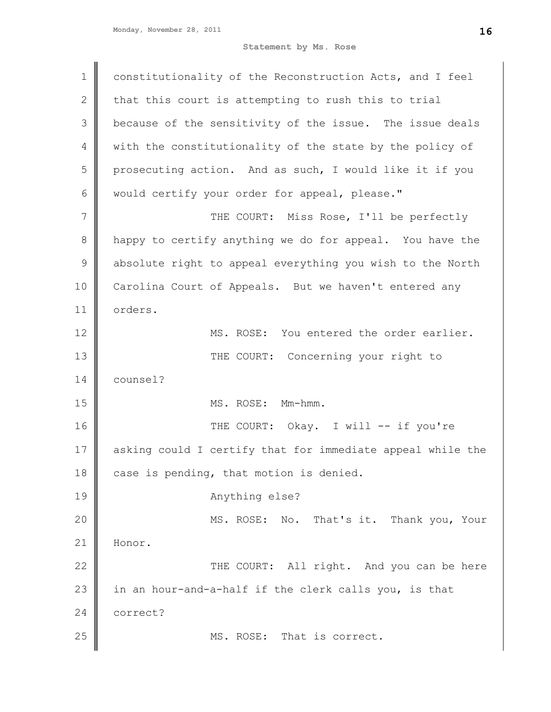**Statement by Ms. Rose**

| $\mathbf 1$    | constitutionality of the Reconstruction Acts, and I feel   |
|----------------|------------------------------------------------------------|
| $\mathbf{2}$   | that this court is attempting to rush this to trial        |
| 3              | because of the sensitivity of the issue. The issue deals   |
| 4              | with the constitutionality of the state by the policy of   |
| 5              | prosecuting action. And as such, I would like it if you    |
| 6              | would certify your order for appeal, please."              |
| $\overline{7}$ | THE COURT: Miss Rose, I'll be perfectly                    |
| $\,8\,$        | happy to certify anything we do for appeal. You have the   |
| $\mathsf 9$    | absolute right to appeal everything you wish to the North  |
| 10             | Carolina Court of Appeals. But we haven't entered any      |
| 11             | orders.                                                    |
| 12             | MS. ROSE: You entered the order earlier.                   |
| 13             | THE COURT: Concerning your right to                        |
| 14             | counsel?                                                   |
| 15             | MS. ROSE: Mm-hmm.                                          |
| 16             | THE COURT: Okay. I will -- if you're                       |
| 17             | asking could I certify that for immediate appeal while the |
| 18             | case is pending, that motion is denied.                    |
| 19             | Anything else?                                             |
| 20             | MS. ROSE: No. That's it. Thank you, Your                   |
| 21             | Honor.                                                     |
| 22             | THE COURT: All right. And you can be here                  |
| 23             | in an hour-and-a-half if the clerk calls you, is that      |
| 24             | correct?                                                   |
| 25             | MS. ROSE: That is correct.                                 |
|                |                                                            |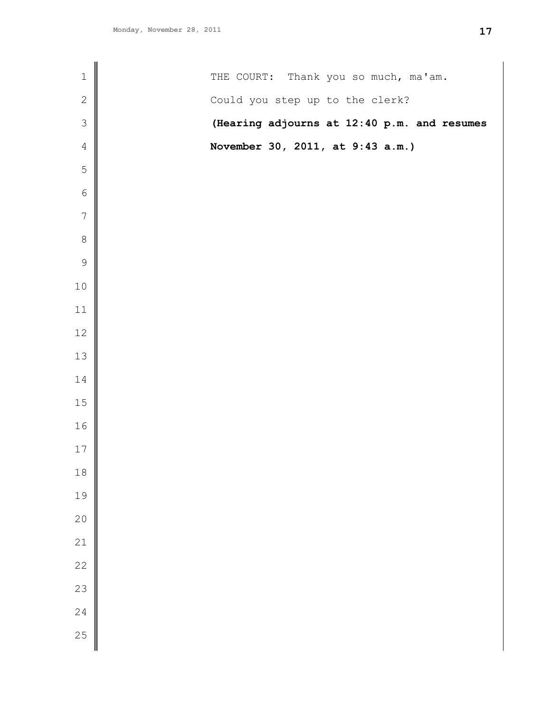| $\mathbf 1$      | THE COURT: Thank you so much, ma'am.        |
|------------------|---------------------------------------------|
| $\sqrt{2}$       | Could you step up to the clerk?             |
| $\mathfrak{Z}$   | (Hearing adjourns at 12:40 p.m. and resumes |
| $\overline{4}$   | November 30, 2011, at 9:43 a.m.)            |
| $\mathbf 5$      |                                             |
| $\sqrt{6}$       |                                             |
| $\boldsymbol{7}$ |                                             |
| $\,8\,$          |                                             |
| $\mathsf 9$      |                                             |
| $10$             |                                             |
| 11               |                                             |
| 12               |                                             |
| 13               |                                             |
| 14               |                                             |
| $15\,$           |                                             |
| 16               |                                             |
| $17$             |                                             |
| $18\,$           |                                             |
| 19               |                                             |
| 20               |                                             |
| 21               |                                             |
| 22               |                                             |
| 23               |                                             |
| 24               |                                             |
| 25               |                                             |